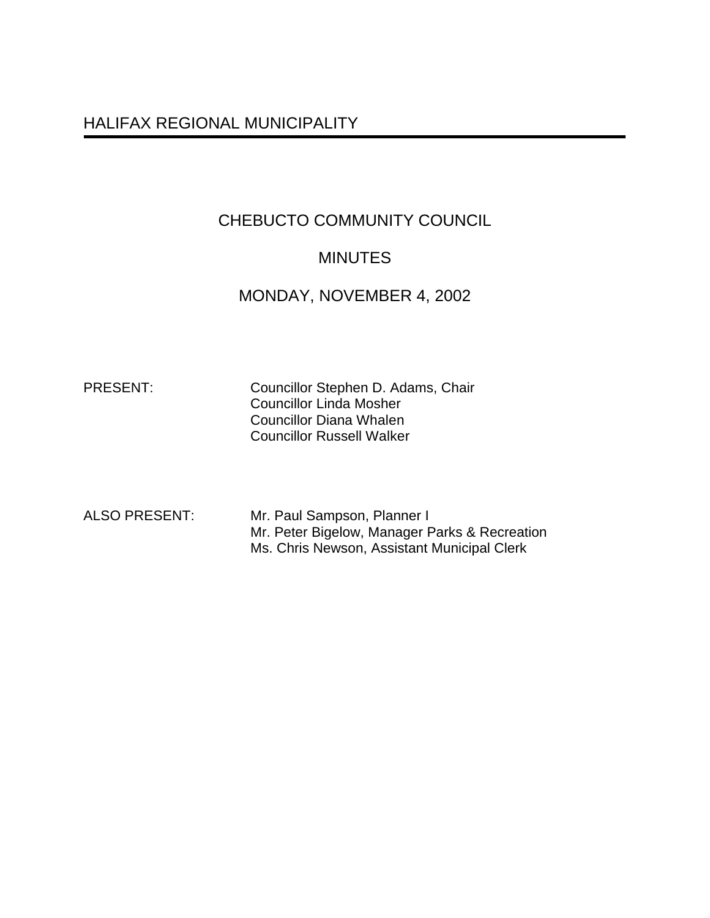# HALIFAX REGIONAL MUNICIPALITY

# CHEBUCTO COMMUNITY COUNCIL

## **MINUTES**

## MONDAY, NOVEMBER 4, 2002

PRESENT: Councillor Stephen D. Adams, Chair Councillor Linda Mosher Councillor Diana Whalen Councillor Russell Walker

ALSO PRESENT: Mr. Paul Sampson, Planner I Mr. Peter Bigelow, Manager Parks & Recreation Ms. Chris Newson, Assistant Municipal Clerk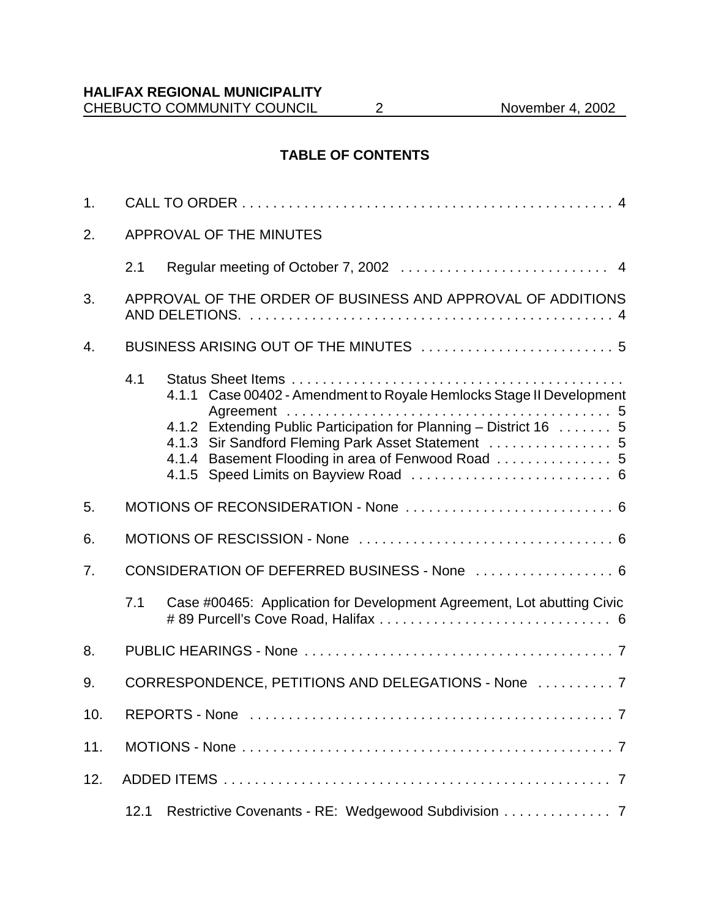## **TABLE OF CONTENTS**

| 1.  |                                                                                              |                                                                                                                                                                                                                                                        |  |
|-----|----------------------------------------------------------------------------------------------|--------------------------------------------------------------------------------------------------------------------------------------------------------------------------------------------------------------------------------------------------------|--|
| 2.  | APPROVAL OF THE MINUTES                                                                      |                                                                                                                                                                                                                                                        |  |
|     | 2.1                                                                                          |                                                                                                                                                                                                                                                        |  |
| 3.  | APPROVAL OF THE ORDER OF BUSINESS AND APPROVAL OF ADDITIONS                                  |                                                                                                                                                                                                                                                        |  |
| 4.  |                                                                                              |                                                                                                                                                                                                                                                        |  |
|     | 4.1                                                                                          | 4.1.1 Case 00402 - Amendment to Royale Hemlocks Stage II Development<br>4.1.2 Extending Public Participation for Planning - District 16  5<br>4.1.3 Sir Sandford Fleming Park Asset Statement  5<br>4.1.4 Basement Flooding in area of Fenwood Road  5 |  |
| 5.  |                                                                                              |                                                                                                                                                                                                                                                        |  |
| 6.  |                                                                                              |                                                                                                                                                                                                                                                        |  |
| 7.  | CONSIDERATION OF DEFERRED BUSINESS - None  6                                                 |                                                                                                                                                                                                                                                        |  |
|     | 7.1                                                                                          | Case #00465: Application for Development Agreement, Lot abutting Civic                                                                                                                                                                                 |  |
| 8.  |                                                                                              |                                                                                                                                                                                                                                                        |  |
| 9.  | CORRESPONDENCE, PETITIONS AND DELEGATIONS - None  7                                          |                                                                                                                                                                                                                                                        |  |
| 10. |                                                                                              |                                                                                                                                                                                                                                                        |  |
| 11. | MOTIONS - None $\dots\dots\dots\dots\dots\dots\dots\dots\dots\dots\dots\dots\dots\dots\dots$ |                                                                                                                                                                                                                                                        |  |
| 12. |                                                                                              |                                                                                                                                                                                                                                                        |  |
|     | 12.1                                                                                         | Restrictive Covenants - RE: Wedgewood Subdivision 7                                                                                                                                                                                                    |  |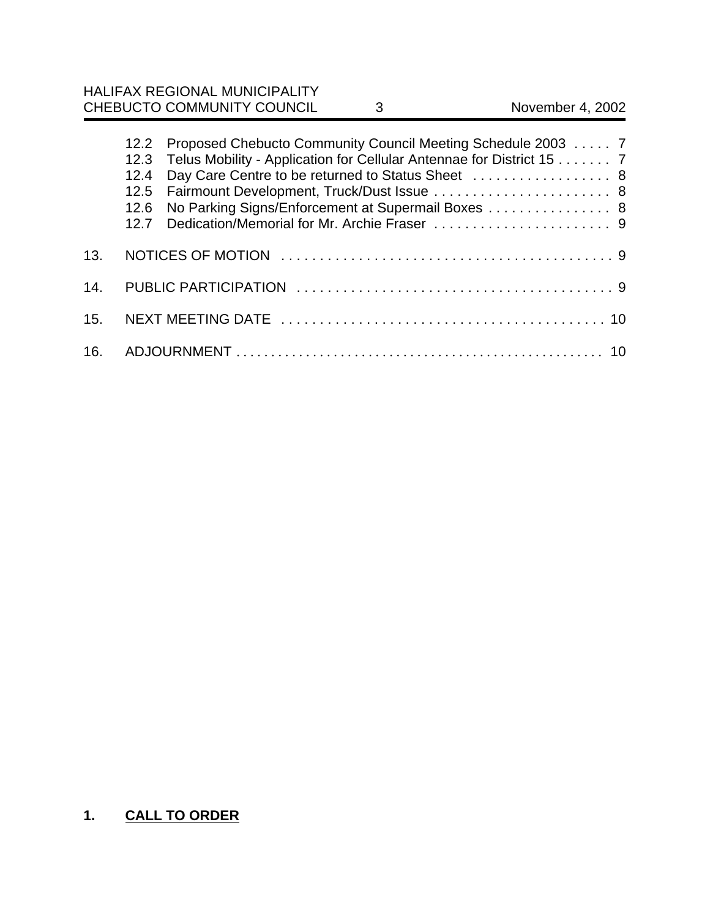HALIFAX REGIONAL MUNICIPALITY CHEBUCTO COMMUNITY COUNCIL 3 November 4, 2002

|     | 12.2 Proposed Chebucto Community Council Meeting Schedule 2003  7<br>Telus Mobility - Application for Cellular Antennae for District 15 7<br>12.3<br>Day Care Centre to be returned to Status Sheet  8<br>12.4<br>No Parking Signs/Enforcement at Supermail Boxes 8<br>12.6<br>12.7 |  |
|-----|-------------------------------------------------------------------------------------------------------------------------------------------------------------------------------------------------------------------------------------------------------------------------------------|--|
| 13. |                                                                                                                                                                                                                                                                                     |  |
| 14. |                                                                                                                                                                                                                                                                                     |  |
|     |                                                                                                                                                                                                                                                                                     |  |
|     |                                                                                                                                                                                                                                                                                     |  |

# **1. CALL TO ORDER**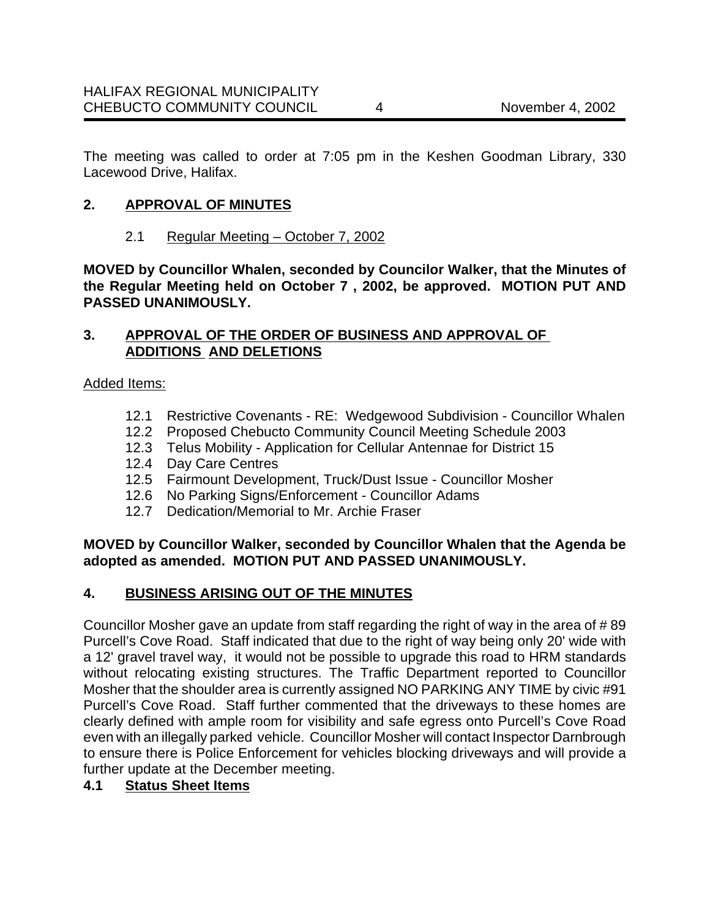The meeting was called to order at 7:05 pm in the Keshen Goodman Library, 330 Lacewood Drive, Halifax.

#### **2. APPROVAL OF MINUTES**

2.1 Regular Meeting – October 7, 2002

**MOVED by Councillor Whalen, seconded by Councilor Walker, that the Minutes of the Regular Meeting held on October 7 , 2002, be approved. MOTION PUT AND PASSED UNANIMOUSLY.**

#### **3. APPROVAL OF THE ORDER OF BUSINESS AND APPROVAL OF ADDITIONS AND DELETIONS**

Added Items:

- 12.1 Restrictive Covenants RE: Wedgewood Subdivision Councillor Whalen
- 12.2 Proposed Chebucto Community Council Meeting Schedule 2003
- 12.3 Telus Mobility Application for Cellular Antennae for District 15
- 12.4 Day Care Centres
- 12.5 Fairmount Development, Truck/Dust Issue Councillor Mosher
- 12.6 No Parking Signs/Enforcement Councillor Adams
- 12.7 Dedication/Memorial to Mr. Archie Fraser

#### **MOVED by Councillor Walker, seconded by Councillor Whalen that the Agenda be adopted as amended. MOTION PUT AND PASSED UNANIMOUSLY.**

## **4. BUSINESS ARISING OUT OF THE MINUTES**

Councillor Mosher gave an update from staff regarding the right of way in the area of # 89 Purcell's Cove Road. Staff indicated that due to the right of way being only 20' wide with a 12' gravel travel way, it would not be possible to upgrade this road to HRM standards without relocating existing structures. The Traffic Department reported to Councillor Mosher that the shoulder area is currently assigned NO PARKING ANY TIME by civic #91 Purcell's Cove Road. Staff further commented that the driveways to these homes are clearly defined with ample room for visibility and safe egress onto Purcell's Cove Road even with an illegally parked vehicle. Councillor Mosher will contact Inspector Darnbrough to ensure there is Police Enforcement for vehicles blocking driveways and will provide a further update at the December meeting.

#### **4.1 Status Sheet Items**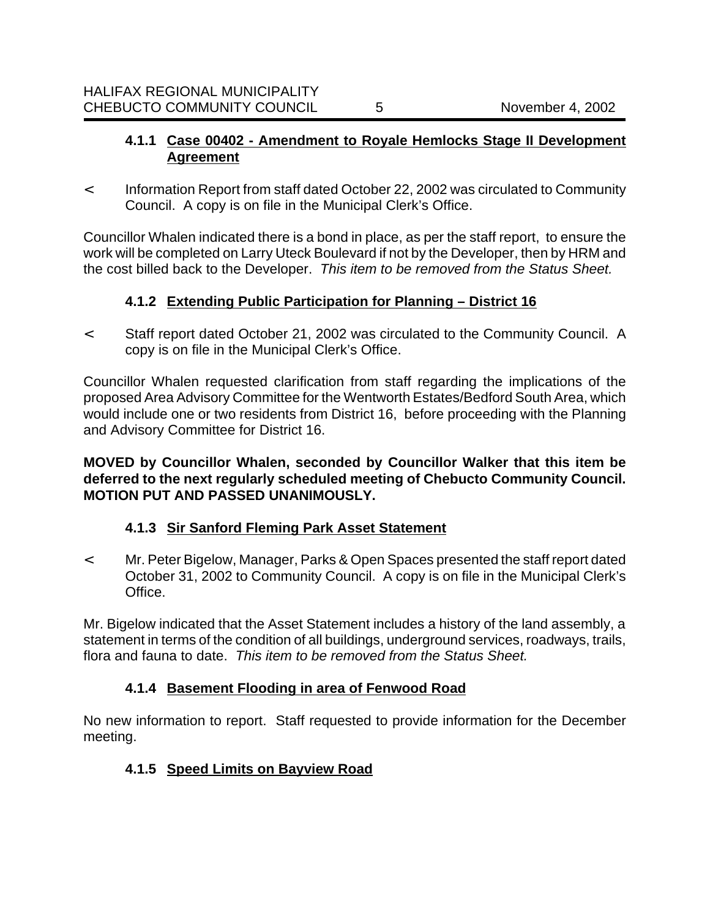#### **4.1.1 Case 00402 - Amendment to Royale Hemlocks Stage II Development Agreement**

< Information Report from staff dated October 22, 2002 was circulated to Community Council. A copy is on file in the Municipal Clerk's Office.

Councillor Whalen indicated there is a bond in place, as per the staff report, to ensure the work will be completed on Larry Uteck Boulevard if not by the Developer, then by HRM and the cost billed back to the Developer. *This item to be removed from the Status Sheet.*

## **4.1.2 Extending Public Participation for Planning – District 16**

< Staff report dated October 21, 2002 was circulated to the Community Council. A copy is on file in the Municipal Clerk's Office.

Councillor Whalen requested clarification from staff regarding the implications of the proposed Area Advisory Committee for the Wentworth Estates/Bedford South Area, which would include one or two residents from District 16, before proceeding with the Planning and Advisory Committee for District 16.

**MOVED by Councillor Whalen, seconded by Councillor Walker that this item be deferred to the next regularly scheduled meeting of Chebucto Community Council. MOTION PUT AND PASSED UNANIMOUSLY.**

## **4.1.3 Sir Sanford Fleming Park Asset Statement**

< Mr. Peter Bigelow, Manager, Parks & Open Spaces presented the staff report dated October 31, 2002 to Community Council. A copy is on file in the Municipal Clerk's Office.

Mr. Bigelow indicated that the Asset Statement includes a history of the land assembly, a statement in terms of the condition of all buildings, underground services, roadways, trails, flora and fauna to date. *This item to be removed from the Status Sheet.*

## **4.1.4 Basement Flooding in area of Fenwood Road**

No new information to report. Staff requested to provide information for the December meeting.

## **4.1.5 Speed Limits on Bayview Road**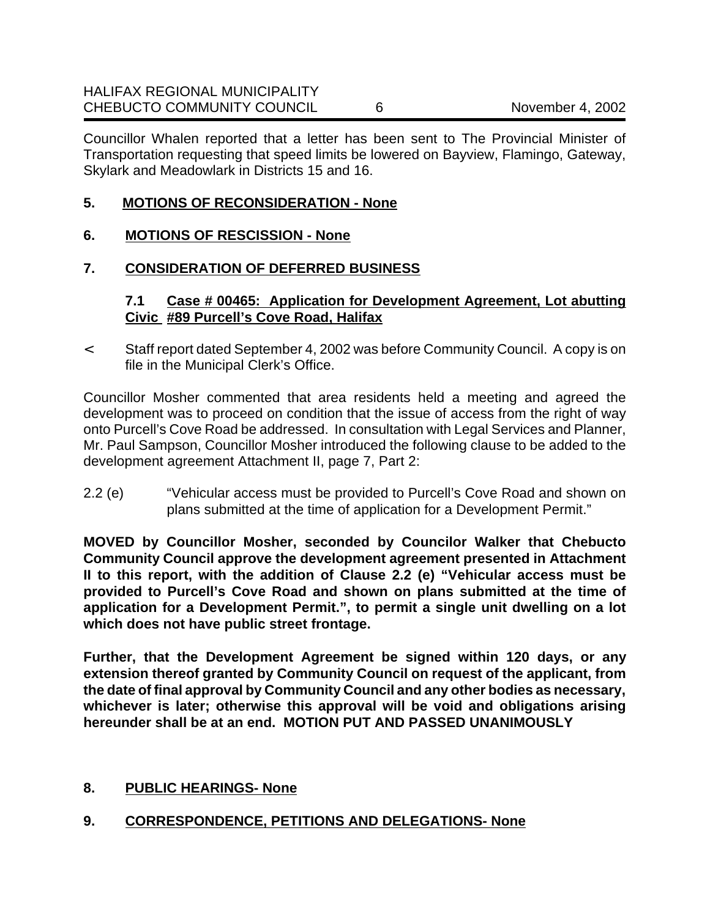Councillor Whalen reported that a letter has been sent to The Provincial Minister of Transportation requesting that speed limits be lowered on Bayview, Flamingo, Gateway, Skylark and Meadowlark in Districts 15 and 16.

#### **5. MOTIONS OF RECONSIDERATION - None**

#### **6. MOTIONS OF RESCISSION - None**

#### **7. CONSIDERATION OF DEFERRED BUSINESS**

#### **7.1 Case # 00465: Application for Development Agreement, Lot abutting Civic #89 Purcell's Cove Road, Halifax**

< Staff report dated September 4, 2002 was before Community Council. A copy is on file in the Municipal Clerk's Office.

Councillor Mosher commented that area residents held a meeting and agreed the development was to proceed on condition that the issue of access from the right of way onto Purcell's Cove Road be addressed. In consultation with Legal Services and Planner, Mr. Paul Sampson, Councillor Mosher introduced the following clause to be added to the development agreement Attachment II, page 7, Part 2:

2.2 (e) "Vehicular access must be provided to Purcell's Cove Road and shown on plans submitted at the time of application for a Development Permit."

**MOVED by Councillor Mosher, seconded by Councilor Walker that Chebucto Community Council approve the development agreement presented in Attachment II to this report, with the addition of Clause 2.2 (e) "Vehicular access must be provided to Purcell's Cove Road and shown on plans submitted at the time of application for a Development Permit.", to permit a single unit dwelling on a lot which does not have public street frontage.** 

**Further, that the Development Agreement be signed within 120 days, or any extension thereof granted by Community Council on request of the applicant, from the date of final approval by Community Council and any other bodies as necessary, whichever is later; otherwise this approval will be void and obligations arising hereunder shall be at an end. MOTION PUT AND PASSED UNANIMOUSLY**

## **8. PUBLIC HEARINGS- None**

## **9. CORRESPONDENCE, PETITIONS AND DELEGATIONS- None**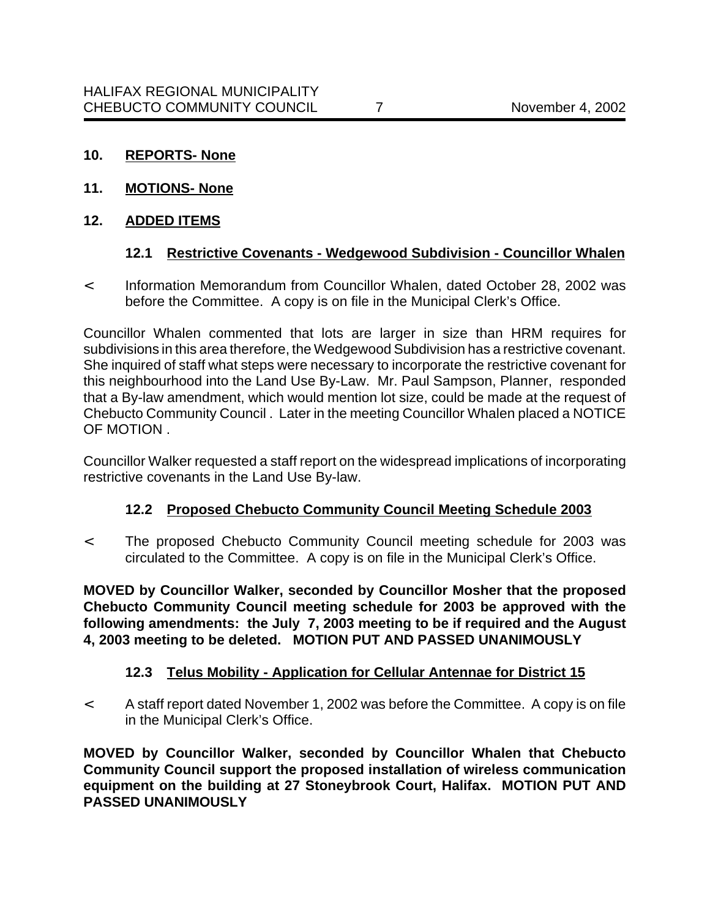- **10. REPORTS- None**
- **11. MOTIONS- None**

#### **12. ADDED ITEMS**

#### **12.1 Restrictive Covenants - Wedgewood Subdivision - Councillor Whalen**

< Information Memorandum from Councillor Whalen, dated October 28, 2002 was before the Committee. A copy is on file in the Municipal Clerk's Office.

Councillor Whalen commented that lots are larger in size than HRM requires for subdivisions in this area therefore, the Wedgewood Subdivision has a restrictive covenant. She inquired of staff what steps were necessary to incorporate the restrictive covenant for this neighbourhood into the Land Use By-Law. Mr. Paul Sampson, Planner, responded that a By-law amendment, which would mention lot size, could be made at the request of Chebucto Community Council . Later in the meeting Councillor Whalen placed a NOTICE OF MOTION .

Councillor Walker requested a staff report on the widespread implications of incorporating restrictive covenants in the Land Use By-law.

#### **12.2 Proposed Chebucto Community Council Meeting Schedule 2003**

< The proposed Chebucto Community Council meeting schedule for 2003 was circulated to the Committee. A copy is on file in the Municipal Clerk's Office.

**MOVED by Councillor Walker, seconded by Councillor Mosher that the proposed Chebucto Community Council meeting schedule for 2003 be approved with the following amendments: the July 7, 2003 meeting to be if required and the August 4, 2003 meeting to be deleted. MOTION PUT AND PASSED UNANIMOUSLY**

#### **12.3 Telus Mobility - Application for Cellular Antennae for District 15**

< A staff report dated November 1, 2002 was before the Committee. A copy is on file in the Municipal Clerk's Office.

**MOVED by Councillor Walker, seconded by Councillor Whalen that Chebucto Community Council support the proposed installation of wireless communication equipment on the building at 27 Stoneybrook Court, Halifax. MOTION PUT AND PASSED UNANIMOUSLY**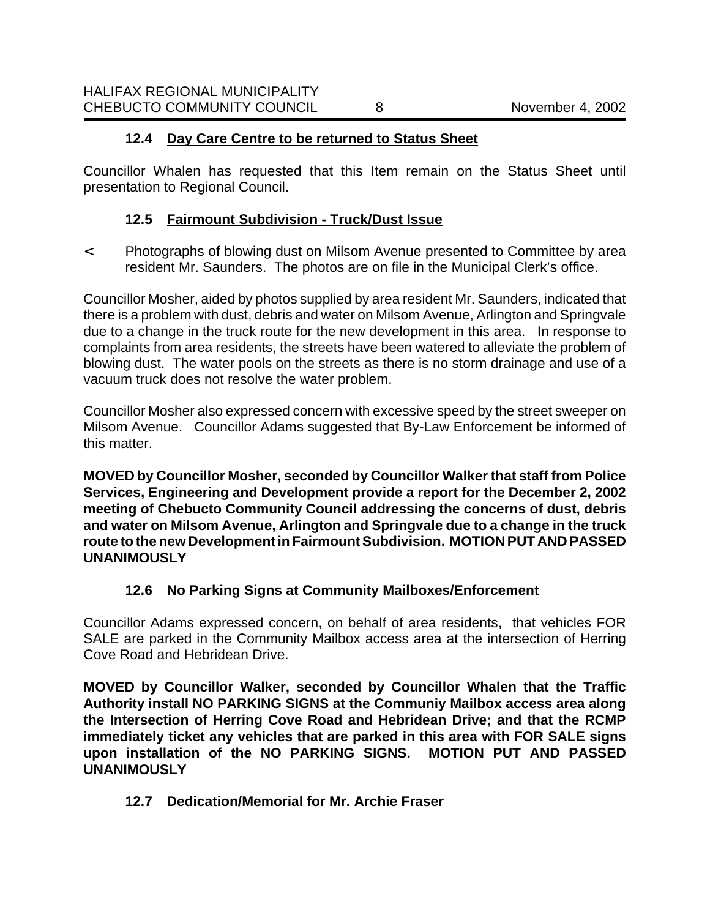#### **12.4 Day Care Centre to be returned to Status Sheet**

Councillor Whalen has requested that this Item remain on the Status Sheet until presentation to Regional Council.

#### **12.5 Fairmount Subdivision - Truck/Dust Issue**

< Photographs of blowing dust on Milsom Avenue presented to Committee by area resident Mr. Saunders. The photos are on file in the Municipal Clerk's office.

Councillor Mosher, aided by photos supplied by area resident Mr. Saunders, indicated that there is a problem with dust, debris and water on Milsom Avenue, Arlington and Springvale due to a change in the truck route for the new development in this area. In response to complaints from area residents, the streets have been watered to alleviate the problem of blowing dust. The water pools on the streets as there is no storm drainage and use of a vacuum truck does not resolve the water problem.

Councillor Mosher also expressed concern with excessive speed by the street sweeper on Milsom Avenue. Councillor Adams suggested that By-Law Enforcement be informed of this matter.

**MOVED by Councillor Mosher, seconded by Councillor Walker that staff from Police Services, Engineering and Development provide a report for the December 2, 2002 meeting of Chebucto Community Council addressing the concerns of dust, debris and water on Milsom Avenue, Arlington and Springvale due to a change in the truck route to the new Development in Fairmount Subdivision. MOTION PUT AND PASSED UNANIMOUSLY**

## **12.6 No Parking Signs at Community Mailboxes/Enforcement**

Councillor Adams expressed concern, on behalf of area residents, that vehicles FOR SALE are parked in the Community Mailbox access area at the intersection of Herring Cove Road and Hebridean Drive.

**MOVED by Councillor Walker, seconded by Councillor Whalen that the Traffic Authority install NO PARKING SIGNS at the Communiy Mailbox access area along the Intersection of Herring Cove Road and Hebridean Drive; and that the RCMP immediately ticket any vehicles that are parked in this area with FOR SALE signs upon installation of the NO PARKING SIGNS. MOTION PUT AND PASSED UNANIMOUSLY**

## **12.7 Dedication/Memorial for Mr. Archie Fraser**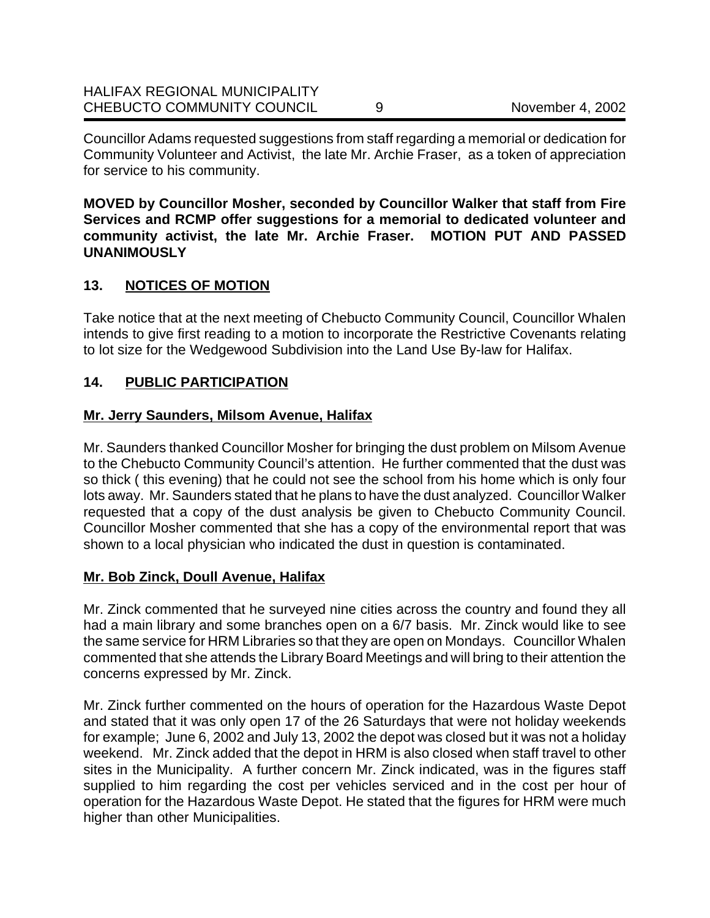Councillor Adams requested suggestions from staff regarding a memorial or dedication for Community Volunteer and Activist, the late Mr. Archie Fraser, as a token of appreciation for service to his community.

**MOVED by Councillor Mosher, seconded by Councillor Walker that staff from Fire Services and RCMP offer suggestions for a memorial to dedicated volunteer and community activist, the late Mr. Archie Fraser. MOTION PUT AND PASSED UNANIMOUSLY**

## **13. NOTICES OF MOTION**

Take notice that at the next meeting of Chebucto Community Council, Councillor Whalen intends to give first reading to a motion to incorporate the Restrictive Covenants relating to lot size for the Wedgewood Subdivision into the Land Use By-law for Halifax.

#### **14. PUBLIC PARTICIPATION**

#### **Mr. Jerry Saunders, Milsom Avenue, Halifax**

Mr. Saunders thanked Councillor Mosher for bringing the dust problem on Milsom Avenue to the Chebucto Community Council's attention. He further commented that the dust was so thick ( this evening) that he could not see the school from his home which is only four lots away. Mr. Saunders stated that he plans to have the dust analyzed. Councillor Walker requested that a copy of the dust analysis be given to Chebucto Community Council. Councillor Mosher commented that she has a copy of the environmental report that was shown to a local physician who indicated the dust in question is contaminated.

#### **Mr. Bob Zinck, Doull Avenue, Halifax**

Mr. Zinck commented that he surveyed nine cities across the country and found they all had a main library and some branches open on a 6/7 basis. Mr. Zinck would like to see the same service for HRM Libraries so that they are open on Mondays. Councillor Whalen commented that she attends the Library Board Meetings and will bring to their attention the concerns expressed by Mr. Zinck.

Mr. Zinck further commented on the hours of operation for the Hazardous Waste Depot and stated that it was only open 17 of the 26 Saturdays that were not holiday weekends for example; June 6, 2002 and July 13, 2002 the depot was closed but it was not a holiday weekend. Mr. Zinck added that the depot in HRM is also closed when staff travel to other sites in the Municipality. A further concern Mr. Zinck indicated, was in the figures staff supplied to him regarding the cost per vehicles serviced and in the cost per hour of operation for the Hazardous Waste Depot. He stated that the figures for HRM were much higher than other Municipalities.